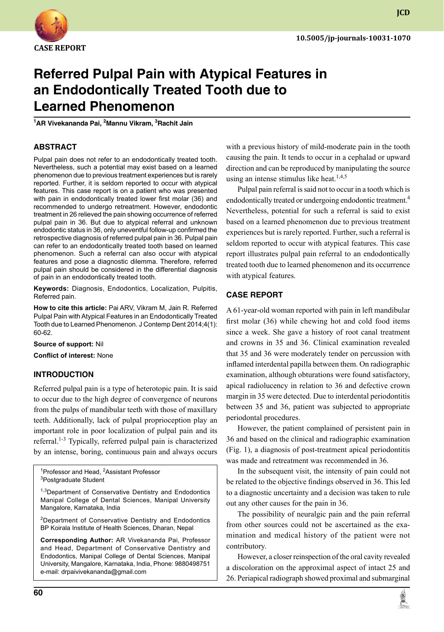

**JCD**

# **Referred Pulpal Pain with Atypical Features in an Endodontically Treated Tooth due to Learned Phenomenon**

**1 AR Vivekananda Pai, 2 Mannu Vikram, 3 Rachit Jain**

## **ABSTRACT**

Pulpal pain does not refer to an endodontically treated tooth. Nevertheless, such a potential may exist based on a learned phenomenon due to previous treatment experiences but is rarely reported. Further, it is seldom reported to occur with atypical features. This case report is on a patient who was presented with pain in endodontically treated lower first molar (36) and recommended to undergo retreatment. However, endodontic treatment in 26 relieved the pain showing occurrence of referred pulpal pain in 36. But due to atypical referral and unknown endodontic status in 36, only uneventful follow-up confirmed the retrospective diagnosis of referred pulpal pain in 36. Pulpal pain can refer to an endodontically treated tooth based on learned phenomenon. Such a referral can also occur with atypical features and pose a diagnostic dilemma. Therefore, referred pulpal pain should be considered in the differential diagnosis of pain in an endodontically treated tooth.

**Keywords:** Diagnosis, endodontics, localization, pulpitis, Referred pain.

**How to cite this article:** Pai ARV, Vikram M, Jain R. Referred Pulpal Pain with Atypical Features in an Endodontically Treated Tooth due to Learned Phenomenon. J Contemp Dent 2014;4(1): 60-62.

**Source of support:** Nil

**Conflict of interest:** None

# **Introduction**

Referred pulpal pain is a type of heterotopic pain. It is said to occur due to the high degree of convergence of neurons from the pulps of mandibular teeth with those of maxillary teeth. Additionally, lack of pulpal proprioception play an important role in poor localization of pulpal pain and its referral.<sup>1-3</sup> Typically, referred pulpal pain is characterized by an intense, boring, continuous pain and always occurs

<sup>1</sup>Professor and Head, <sup>2</sup>Assistant Professor <sup>3</sup>Postgraduate Student

<sup>1,3</sup>Department of Conservative Dentistry and Endodontics Manipal College of Dental Sciences, Manipal University Mangalore, Karnataka, India

<sup>2</sup>Department of Conservative Dentistry and Endodontics BP Koirala Institute of Health Sciences, Dharan, Nepal

**Corresponding Author:** AR Vivekananda Pai, Professor and Head, Department of Conservative Dentistry and Endodontics, Manipal College of Dental Sciences, Manipal University, Mangalore, Karnataka, India, Phone: 9880498751 e-mail: drpaivivekananda@gmail.com

with a previous history of mild-moderate pain in the tooth causing the pain. It tends to occur in a cephalad or upward direction and can be reproduced by manipulating the source using an intense stimulus like heat.<sup>1,4,5</sup>

Pulpal pain referral is said not to occur in a tooth which is endodontically treated or undergoing endodontic treatment.<sup>4</sup> Nevertheless, potential for such a referral is said to exist based on a learned phenomenon due to previous treatment experiences but is rarely reported. Further, such a referral is seldom reported to occur with atypical features. This case report illustrates pulpal pain referral to an endodontically treated tooth due to learned phenomenon and its occurrence with atypical features.

#### **CASE REPORT**

A 61-year-old woman reported with pain in left mandibular first molar (36) while chewing hot and cold food items since a week. She gave a history of root canal treatment and crowns in 35 and 36. Clinical examination revealed that 35 and 36 were moderately tender on percussion with inflamed interdental papilla between them. On radiographic examination, although obturations were found satisfactory, apical radiolucency in relation to 36 and defective crown margin in 35 were detected. Due to interdental periodontitis between 35 and 36, patient was subjected to appropriate periodontal procedures.

However, the patient complained of persistent pain in 36 and based on the clinical and radiographic examination (Fig. 1), a diagnosis of post-treatment apical periodontitis was made and retreatment was recommended in 36.

In the subsequent visit, the intensity of pain could not be related to the objective findings observed in 36. This led to a diagnostic uncertainty and a decision was taken to rule out any other causes for the pain in 36.

The possibility of neuralgic pain and the pain referral from other sources could not be ascertained as the examination and medical history of the patient were not contributory.

However, a closer reinspection of the oral cavity revealed a discoloration on the approximal aspect of intact 25 and 26. Periapical radiograph showed proximal and submarginal

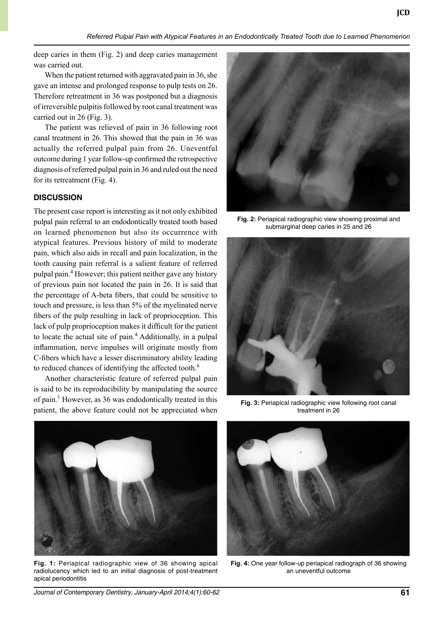deep caries in them (Fig. 2) and deep caries management was carried out.

When the patient returned with aggravated pain in 36, she gave an intense and prolonged response to pulp tests on 26. Therefore retreatment in 36 was postponed but a diagnosis of irreversible pulpitis followed by root canal treatment was carried out in 26 (Fig. 3).

The patient was relieved of pain in 36 following root canal treatment in 26. This showed that the pain in 36 was actually the referred pulpal pain from 26. Uneventful outcome during 1 year follow-up confirmed the retrospective diagnosis of referred pulpal pain in 36 and ruled out the need for its retreatment (Fig. 4).

#### **DISCUSSION**

The present case report is interesting as it not only exhibited pulpal pain referral to an endodontically treated tooth based on learned phenomenon but also its occurrence with atypical features. Previous history of mild to moderate pain, which also aids in recall and pain localization, in the tooth causing pain referral is a salient feature of referred pulpal pain.4 However; this patient neither gave any history of previous pain nor located the pain in 26. It is said that the percentage of A-beta fibers, that could be sensitive to touch and pressure, is less than 5% of the myelinated nerve fibers of the pulp resulting in lack of proprioception. This lack of pulp proprioception makes it difficult for the patient to locate the actual site of pain.<sup>4</sup> Additionally, in a pulpal inflammation, nerve impulses will originate mostly from C-fibers which have a lesser discriminatory ability leading to reduced chances of identifying the affected tooth.<sup>6</sup>

Another characteristic feature of referred pulpal pain is said to be its reproducibility by manipulating the source of pain.<sup>1</sup> However, as 36 was endodontically treated in this patient, the above feature could not be appreciated when



**Fig. 2:** Periapical radiographic view showing proximal and submarginal deep caries in 25 and 26



**Fig. 3:** Periapical radiographic view following root canal treatment in 26



**Fig. 1:** Periapical radiographic view of 36 showing apical radiolucency which led to an initial diagnosis of post-treatment apical periodontitis



**Fig. 4:** One year follow-up periapical radiograph of 36 showing an uneventful outcome